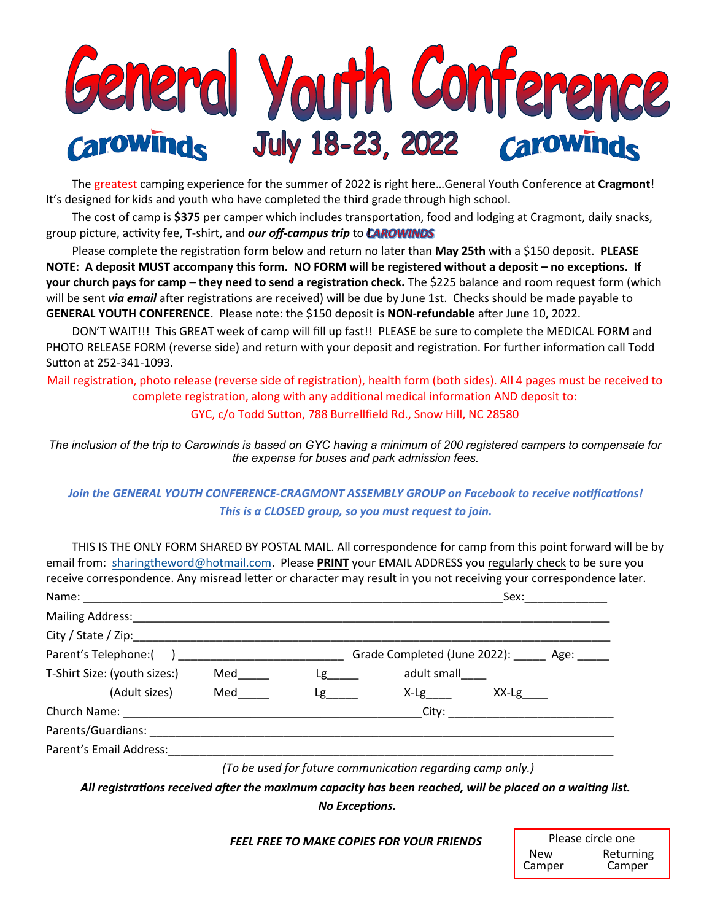

The greatest camping experience for the summer of 2022 is right here…General Youth Conference at **Cragmont**! It's designed for kids and youth who have completed the third grade through high school.

The cost of camp is **\$375** per camper which includes transportation, food and lodging at Cragmont, daily snacks, group picture, activity fee, T-shirt, and **our off-campus trip** to **CAROWINDS** 

Please complete the registration form below and return no later than **May 25th** with a \$150 deposit. **PLEASE NOTE: A deposit MUST accompany this form. NO FORM will be registered without a deposit – no exceptions. If your church pays for camp – they need to send a registration check.** The \$225 balance and room request form (which will be sent *via email* after registrations are received) will be due by June 1st. Checks should be made payable to **GENERAL YOUTH CONFERENCE**. Please note: the \$150 deposit is **NON-refundable** after June 10, 2022.

DON'T WAIT!!! This GREAT week of camp will fill up fast!! PLEASE be sure to complete the MEDICAL FORM and PHOTO RELEASE FORM (reverse side) and return with your deposit and registration. For further information call Todd Sutton at 252-341-1093.

Mail registration, photo release (reverse side of registration), health form (both sides). All 4 pages must be received to complete registration, along with any additional medical information AND deposit to:

GYC, c/o Todd Sutton, 788 Burrellfield Rd., Snow Hill, NC 28580

*The inclusion of the trip to Carowinds is based on GYC having a minimum of 200 registered campers to compensate for the expense for buses and park admission fees.*

## *Join the GENERAL YOUTH CONFERENCE-CRAGMONT ASSEMBLY GROUP on Facebook to receive notifications! This is a CLOSED group, so you must request to join.*

THIS IS THE ONLY FORM SHARED BY POSTAL MAIL. All correspondence for camp from this point forward will be by email from: [sharingtheword@hotmail.com.](mailto:sharingtheword@hotmail.com) Please **PRINT** your EMAIL ADDRESS you regularly check to be sure you receive correspondence. Any misread letter or character may result in you not receiving your correspondence later.

|                              |     |                                 |                                                            | Sex:        |  |
|------------------------------|-----|---------------------------------|------------------------------------------------------------|-------------|--|
|                              |     |                                 |                                                            |             |  |
|                              |     |                                 |                                                            |             |  |
|                              |     |                                 | Grade Completed (June 2022): ______ Age: _____             |             |  |
| T-Shirt Size: (youth sizes:) | Med | $Lg$ and $\sim$                 | adult small                                                |             |  |
| (Adult sizes)                | Med | $\mathsf{Lg}$ and $\mathsf{Lg}$ | $X-Lg$                                                     | $XX-Lg$ ___ |  |
|                              |     |                                 |                                                            |             |  |
|                              |     |                                 |                                                            |             |  |
| Parent's Email Address:      |     |                                 |                                                            |             |  |
|                              |     |                                 | (To be used for future communication regarding camp only.) |             |  |

*All registrations received after the maximum capacity has been reached, will be placed on a waiting list. No Exceptions.*

#### *FEEL FREE TO MAKE COPIES FOR YOUR FRIENDS*

| Please circle one       |        |  |
|-------------------------|--------|--|
| Returning<br><b>New</b> |        |  |
| Camper                  | Camper |  |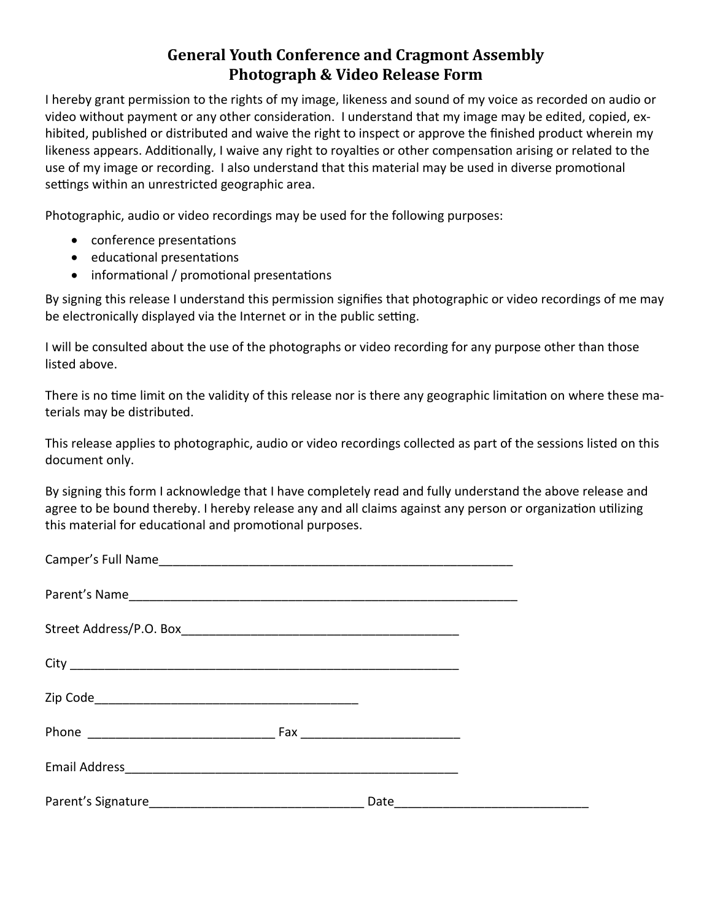# **General Youth Conference and Cragmont Assembly Photograph & Video Release Form**

I hereby grant permission to the rights of my image, likeness and sound of my voice as recorded on audio or video without payment or any other consideration. I understand that my image may be edited, copied, exhibited, published or distributed and waive the right to inspect or approve the finished product wherein my likeness appears. Additionally, I waive any right to royalties or other compensation arising or related to the use of my image or recording. I also understand that this material may be used in diverse promotional settings within an unrestricted geographic area.

Photographic, audio or video recordings may be used for the following purposes:

- conference presentations
- educational presentations
- informational / promotional presentations

By signing this release I understand this permission signifies that photographic or video recordings of me may be electronically displayed via the Internet or in the public setting.

I will be consulted about the use of the photographs or video recording for any purpose other than those listed above.

There is no time limit on the validity of this release nor is there any geographic limitation on where these materials may be distributed.

This release applies to photographic, audio or video recordings collected as part of the sessions listed on this document only.

By signing this form I acknowledge that I have completely read and fully understand the above release and agree to be bound thereby. I hereby release any and all claims against any person or organization utilizing this material for educational and promotional purposes.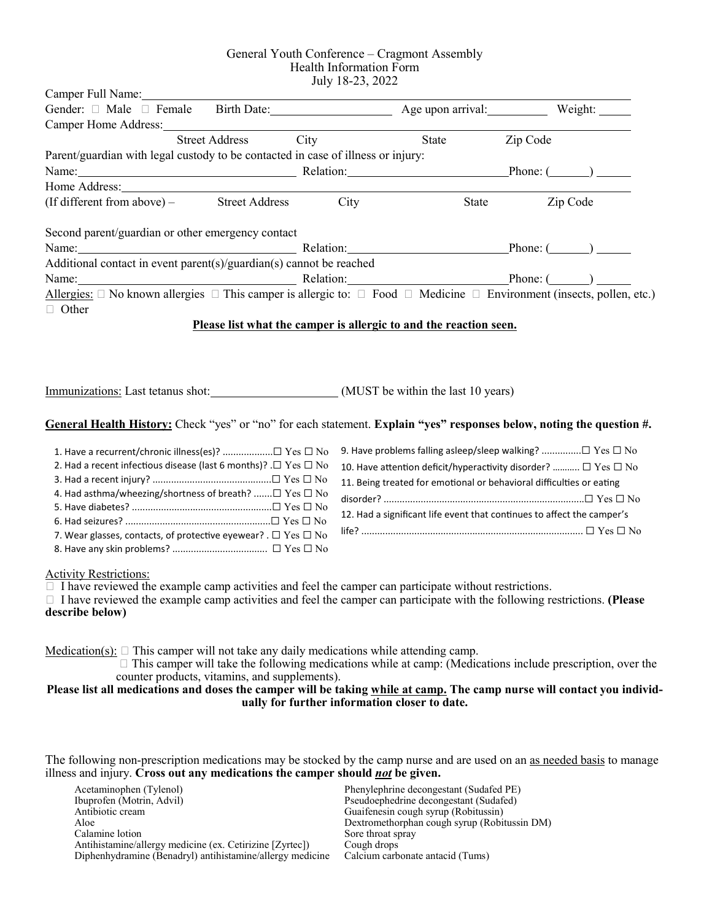#### General Youth Conference – Cragmont Assembly Health Information Form July 18-23, 2022

| Camper Full Name:                                                                                                                                                                                                                                                                                                                                                                                                                                                                                                                                                                                                                                                                                      |                                                                         |                |  |
|--------------------------------------------------------------------------------------------------------------------------------------------------------------------------------------------------------------------------------------------------------------------------------------------------------------------------------------------------------------------------------------------------------------------------------------------------------------------------------------------------------------------------------------------------------------------------------------------------------------------------------------------------------------------------------------------------------|-------------------------------------------------------------------------|----------------|--|
|                                                                                                                                                                                                                                                                                                                                                                                                                                                                                                                                                                                                                                                                                                        |                                                                         |                |  |
| Camper Home Address: 2008                                                                                                                                                                                                                                                                                                                                                                                                                                                                                                                                                                                                                                                                              |                                                                         |                |  |
| Street Address City                                                                                                                                                                                                                                                                                                                                                                                                                                                                                                                                                                                                                                                                                    |                                                                         | State Zip Code |  |
| Parent/guardian with legal custody to be contacted in case of illness or injury:                                                                                                                                                                                                                                                                                                                                                                                                                                                                                                                                                                                                                       |                                                                         |                |  |
| Name: Phone: Phone: Phone: Phone: Phone: (2014)                                                                                                                                                                                                                                                                                                                                                                                                                                                                                                                                                                                                                                                        |                                                                         |                |  |
| Home Address: New York Contract to the Contract of the Contract of the Contract of the Contract of the Contract of the Contract of the Contract of the Contract of the Contract of the Contract of the Contract of the Contrac                                                                                                                                                                                                                                                                                                                                                                                                                                                                         |                                                                         |                |  |
| (If different from above) – Street Address City                                                                                                                                                                                                                                                                                                                                                                                                                                                                                                                                                                                                                                                        |                                                                         | State Zip Code |  |
| Second parent/guardian or other emergency contact                                                                                                                                                                                                                                                                                                                                                                                                                                                                                                                                                                                                                                                      |                                                                         |                |  |
| Name: Phone: Phone: Phone: Phone: Phone: (2014)                                                                                                                                                                                                                                                                                                                                                                                                                                                                                                                                                                                                                                                        |                                                                         |                |  |
| Additional contact in event parent(s)/guardian(s) cannot be reached                                                                                                                                                                                                                                                                                                                                                                                                                                                                                                                                                                                                                                    |                                                                         |                |  |
| Phone: (2012)<br>Name:<br>Allergies: $\Box$ No known allergies $\Box$ This camper is allergic to: $\Box$ Food $\Box$ Medicine $\Box$ Environment (insects, pollen, etc.)                                                                                                                                                                                                                                                                                                                                                                                                                                                                                                                               |                                                                         |                |  |
| □ Other                                                                                                                                                                                                                                                                                                                                                                                                                                                                                                                                                                                                                                                                                                | Please list what the camper is allergic to and the reaction seen.       |                |  |
| Immunizations: Last tetanus shot: (MUST be within the last 10 years)<br>General Health History: Check "yes" or "no" for each statement. Explain "yes" responses below, noting the question #.                                                                                                                                                                                                                                                                                                                                                                                                                                                                                                          |                                                                         |                |  |
| 1. Have a recurrent/chronic illness(es)? □ Yes □ No                                                                                                                                                                                                                                                                                                                                                                                                                                                                                                                                                                                                                                                    | 9. Have problems falling asleep/sleep walking? □ Yes □ No               |                |  |
| 2. Had a recent infectious disease (last 6 months)? . $\Box$ Yes $\Box$ No                                                                                                                                                                                                                                                                                                                                                                                                                                                                                                                                                                                                                             | 10. Have attention deficit/hyperactivity disorder? $\Box$ Yes $\Box$ No |                |  |
|                                                                                                                                                                                                                                                                                                                                                                                                                                                                                                                                                                                                                                                                                                        | 11. Being treated for emotional or behavioral difficulties or eating    |                |  |
| 4. Had asthma/wheezing/shortness of breath? $\Box$ Yes $\Box$ No                                                                                                                                                                                                                                                                                                                                                                                                                                                                                                                                                                                                                                       |                                                                         |                |  |
|                                                                                                                                                                                                                                                                                                                                                                                                                                                                                                                                                                                                                                                                                                        | 12. Had a significant life event that continues to affect the camper's  |                |  |
| 7. Wear glasses, contacts, of protective eyewear? . $\Box$ Yes $\Box$ No                                                                                                                                                                                                                                                                                                                                                                                                                                                                                                                                                                                                                               |                                                                         |                |  |
|                                                                                                                                                                                                                                                                                                                                                                                                                                                                                                                                                                                                                                                                                                        |                                                                         |                |  |
| <b>Activity Restrictions:</b><br>$\Box$ I have reviewed the example camp activities and feel the camper can participate without restrictions.<br>$\Box$ I have reviewed the example camp activities and feel the camper can participate with the following restrictions. (Please<br>describe below)<br>Medication(s): $\square$ This camper will not take any daily medications while attending camp.<br>$\Box$ This camper will take the following medications while at camp: (Medications include prescription, over the<br>counter products, vitamins, and supplements).<br>Please list all medications and doses the camper will be taking while at camp. The camp nurse will contact you individ- | ually for further information closer to date.                           |                |  |

The following non-prescription medications may be stocked by the camp nurse and are used on an as needed basis to manage illness and injury. **Cross out any medications the camper should** *not* **be given.** 

Acetaminophen (Tylenol) Ibuprofen (Motrin, Advil) Antibiotic cream Aloe Calamine lotion Antihistamine/allergy medicine (ex. Cetirizine [Zyrtec]) Diphenhydramine (Benadryl) antihistamine/allergy medicine Phenylephrine decongestant (Sudafed PE) Pseudoephedrine decongestant (Sudafed) Guaifenesin cough syrup (Robitussin) Dextromethorphan cough syrup (Robitussin DM) Sore throat spray Cough drops Calcium carbonate antacid (Tums)